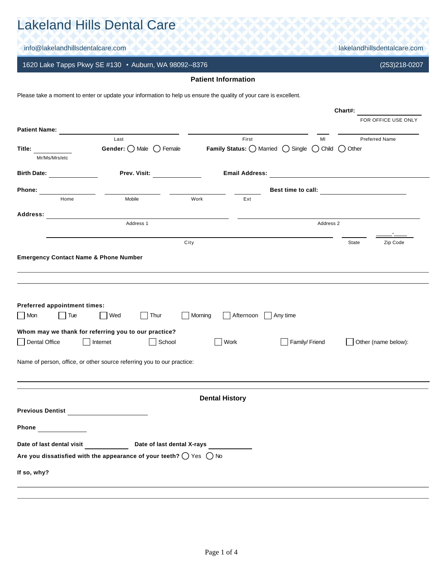# Lakeland Hills Dental Care

info@lakelandhillsdentalcare.com lakelandhillsdentalcare.com

1620 Lake Tapps Pkwy SE #130 • Auburn, WA 98092--8376 (253)218-0207

## **Patient Information**

Please take a moment to enter or update your information to help us ensure the quality of your care is excellent.

|                                                                    |                                                                                                                                                                     |                       |                                           |                           |                                                   | Chart#:   |                       |
|--------------------------------------------------------------------|---------------------------------------------------------------------------------------------------------------------------------------------------------------------|-----------------------|-------------------------------------------|---------------------------|---------------------------------------------------|-----------|-----------------------|
|                                                                    |                                                                                                                                                                     |                       |                                           |                           |                                                   |           | FOR OFFICE USE ONLY   |
| <b>Patient Name:</b>                                               | Last                                                                                                                                                                |                       | First                                     |                           | MI                                                |           | <b>Preferred Name</b> |
| Title:                                                             | <b>Gender:</b> $\bigcirc$ Male $\bigcirc$ Female                                                                                                                    |                       | Family Status: O Married O Single O Child |                           |                                                   | ( ) Other |                       |
| Mr/Ms/Mrs/etc                                                      |                                                                                                                                                                     |                       |                                           |                           |                                                   |           |                       |
| <b>Birth Date:</b>                                                 | Prev. Visit:                                                                                                                                                        |                       | <b>Email Address:</b>                     |                           | <u> 1989 - Andrea State Barbara, amerikan per</u> |           |                       |
| Phone:                                                             |                                                                                                                                                                     |                       |                                           | Best time to call:        |                                                   |           |                       |
| Home                                                               | Mobile                                                                                                                                                              | Work                  | Ext                                       |                           |                                                   |           |                       |
| Address:                                                           |                                                                                                                                                                     |                       |                                           |                           |                                                   |           |                       |
|                                                                    | Address 1                                                                                                                                                           |                       |                                           |                           | Address 2                                         |           |                       |
|                                                                    |                                                                                                                                                                     | City                  |                                           |                           |                                                   | State     | Zip Code              |
| <b>Emergency Contact Name &amp; Phone Number</b>                   |                                                                                                                                                                     |                       |                                           |                           |                                                   |           |                       |
| Preferred appointment times:<br>Mon<br>Tue<br><b>Dental Office</b> | Wed<br>Thur<br>Whom may we thank for referring you to our practice?<br>Internet<br>School<br>Name of person, office, or other source referring you to our practice: | Morning<br>Work       | Afternoon                                 | Any time<br>Family/Friend |                                                   |           | Other (name below):   |
|                                                                    |                                                                                                                                                                     |                       |                                           |                           |                                                   |           |                       |
|                                                                    |                                                                                                                                                                     | <b>Dental History</b> |                                           |                           |                                                   |           |                       |
| <b>Previous Dentist</b>                                            | <u> 1980 - Jan Stein Stein Stein Stein Stein Stein Stein Stein Stein Stein Stein Stein Stein Stein Stein Stein S</u>                                                |                       |                                           |                           |                                                   |           |                       |
| Phone                                                              |                                                                                                                                                                     |                       |                                           |                           |                                                   |           |                       |
| Date of last dental visit                                          | Date of last dental X-rays                                                                                                                                          |                       |                                           |                           |                                                   |           |                       |
|                                                                    | Are you dissatisfied with the appearance of your teeth? $\bigcirc$ Yes $\bigcirc$ No                                                                                |                       |                                           |                           |                                                   |           |                       |
| If so, why?                                                        |                                                                                                                                                                     |                       |                                           |                           |                                                   |           |                       |
|                                                                    |                                                                                                                                                                     |                       |                                           |                           |                                                   |           |                       |
|                                                                    |                                                                                                                                                                     |                       |                                           |                           |                                                   |           |                       |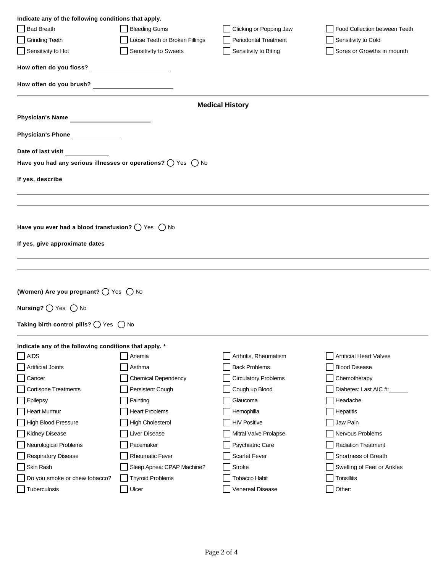| Indicate any of the following conditions that apply.                           |                                |                             |                                |
|--------------------------------------------------------------------------------|--------------------------------|-----------------------------|--------------------------------|
| <b>Bad Breath</b>                                                              | <b>Bleeding Gums</b>           | Clicking or Popping Jaw     | Food Collection between Teeth  |
| <b>Grinding Teeth</b>                                                          | Loose Teeth or Broken Fillings | Periodontal Treatment       | Sensitivity to Cold            |
| Sensitivity to Hot                                                             | Sensitivity to Sweets          | Sensitivity to Biting       | Sores or Growths in mounth     |
| How often do you floss? _____________________                                  |                                |                             |                                |
|                                                                                |                                |                             |                                |
| How often do you brush?                                                        |                                |                             |                                |
|                                                                                |                                | <b>Medical History</b>      |                                |
| Physician's Name                                                               |                                |                             |                                |
| Physician's Phone                                                              |                                |                             |                                |
| Date of last visit                                                             |                                |                             |                                |
| Have you had any serious illnesses or operations? $\bigcirc$ Yes $\bigcirc$ No |                                |                             |                                |
|                                                                                |                                |                             |                                |
| If yes, describe                                                               |                                |                             |                                |
|                                                                                |                                |                             |                                |
|                                                                                |                                |                             |                                |
| Have you ever had a blood transfusion? $\bigcirc$ Yes $\bigcirc$ No            |                                |                             |                                |
|                                                                                |                                |                             |                                |
| If yes, give approximate dates                                                 |                                |                             |                                |
|                                                                                |                                |                             |                                |
|                                                                                |                                |                             |                                |
|                                                                                |                                |                             |                                |
| (Women) Are you pregnant? $\bigcirc$ Yes $\bigcirc$ No                         |                                |                             |                                |
| Nursing? $\bigcirc$ Yes $\bigcirc$ No                                          |                                |                             |                                |
|                                                                                |                                |                             |                                |
| Taking birth control pills? $\bigcirc$ Yes $\bigcirc$ No                       |                                |                             |                                |
|                                                                                |                                |                             |                                |
| Indicate any of the following conditions that apply. *<br><b>AIDS</b>          | Anemia                         | Arthritis, Rheumatism       | <b>Artificial Heart Valves</b> |
| <b>Artificial Joints</b>                                                       | Asthma                         | <b>Back Problems</b>        | <b>Blood Disease</b>           |
| Cancer                                                                         | <b>Chemical Dependency</b>     | <b>Circulatory Problems</b> | Chemotherapy                   |
| <b>Cortisone Treatments</b>                                                    | Persistent Cough               | Cough up Blood              | Diabetes: Last AIC #:          |
| Epilepsy                                                                       | Fainting                       | Glaucoma                    | Headache                       |
| <b>Heart Murmur</b>                                                            | <b>Heart Problems</b>          | Hemophilia                  | Hepatitis                      |
| <b>High Blood Pressure</b>                                                     | <b>High Cholesterol</b>        | <b>HIV Positive</b>         | Jaw Pain                       |
| Kidney Disease                                                                 | Liver Disease                  | Mitral Valve Prolapse       | Nervous Problems               |
| Neurological Problems                                                          | Pacemaker                      | Psychiatric Care            | <b>Radiation Treatment</b>     |
| <b>Respiratory Disease</b>                                                     | <b>Rheumatic Fever</b>         | <b>Scarlet Fever</b>        | Shortness of Breath            |
| Skin Rash                                                                      | Sleep Apnea: CPAP Machine?     | <b>Stroke</b>               | Swelling of Feet or Ankles     |
| Do you smoke or chew tobacco?                                                  | <b>Thyroid Problems</b>        | Tobacco Habit               | <b>Tonsillitis</b>             |
| Tuberculosis                                                                   | Ulcer                          | Venereal Disease            | Other:                         |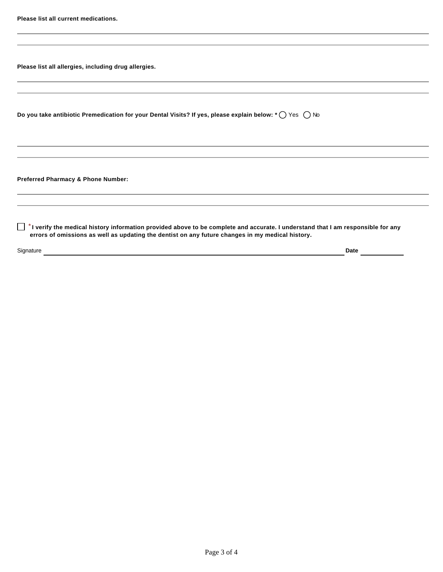**Please list all allergies, including drug allergies.**

| Do you take antibiotic Premedication for your Dental Visits? If yes, please explain below: *◯ Yes $~\bigcirc$ No |
|------------------------------------------------------------------------------------------------------------------|
|------------------------------------------------------------------------------------------------------------------|

**Preferred Pharmacy & Phone Number:**

**I verify the medical history information provided above to be complete and accurate. I understand that I am responsible for any** *\** **errors of omissions as well as updating the dentist on any future changes in my medical history.**

Signature **Date Date Date Date Date Date Date Date Date Date Date Date Date Date Date Date Date Date Date Date Date Date Date Date Date Date D**